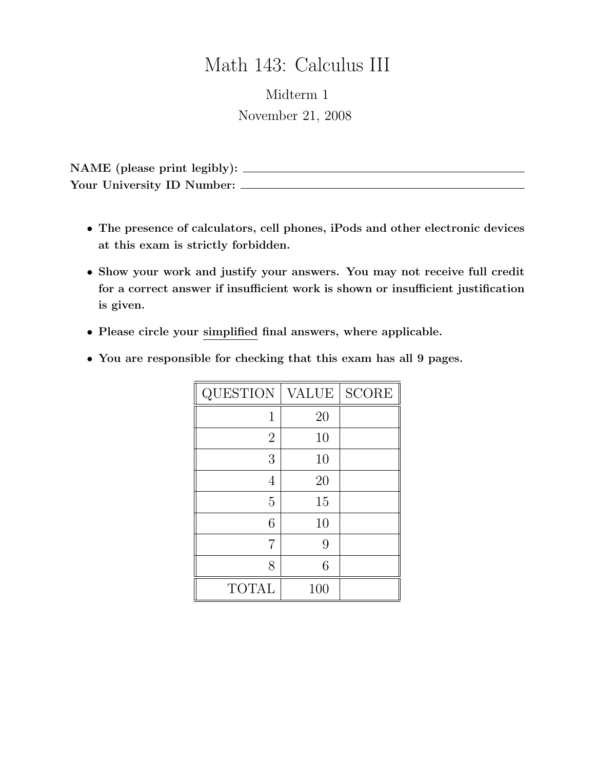## Math 143: Calculus III

Midterm 1 November 21, 2008

NAME (please print legibly): Your University ID Number:

- The presence of calculators, cell phones, iPods and other electronic devices at this exam is strictly forbidden.
- Show your work and justify your answers. You may not receive full credit for a correct answer if insufficient work is shown or insufficient justification is given.
- Please circle your simplified final answers, where applicable.
- You are responsible for checking that this exam has all 9 pages.

| QUESTION       | <b>VALUE</b> | <b>SCORE</b> |
|----------------|--------------|--------------|
| 1              | 20           |              |
| $\overline{2}$ | 10           |              |
| 3              | 10           |              |
| 4              | 20           |              |
| 5              | 15           |              |
| 6              | 10           |              |
| 7              | 9            |              |
| 8              | 6            |              |
| <b>TOTAL</b>   | 100          |              |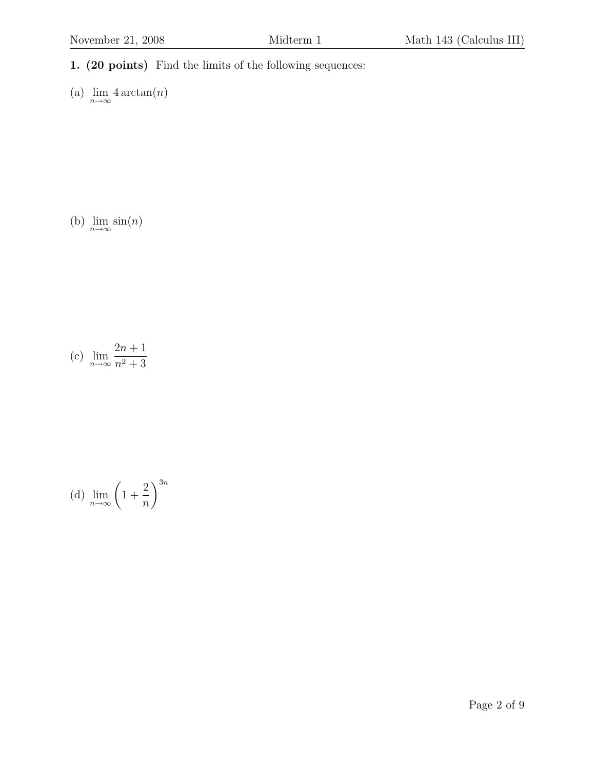1. (20 points) Find the limits of the following sequences:

(a) 
$$
\lim_{n \to \infty} 4 \arctan(n)
$$

(b)  $\lim_{n\to\infty} \sin(n)$ 

(c) 
$$
\lim_{n \to \infty} \frac{2n+1}{n^2+3}
$$

(d) 
$$
\lim_{n \to \infty} \left( 1 + \frac{2}{n} \right)^{3n}
$$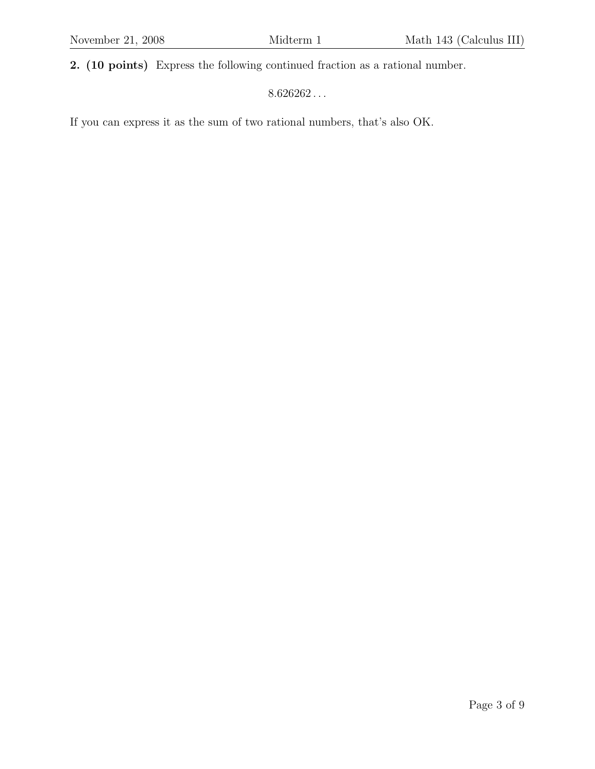2. (10 points) Express the following continued fraction as a rational number.

 $8.626262\ldots$ 

If you can express it as the sum of two rational numbers, that's also OK.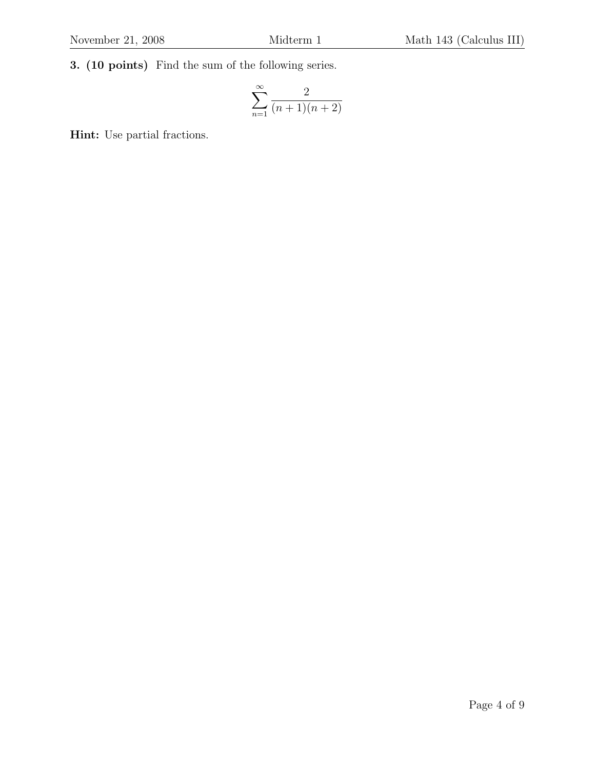3. (10 points) Find the sum of the following series.

$$
\sum_{n=1}^{\infty} \frac{2}{(n+1)(n+2)}
$$

Hint: Use partial fractions.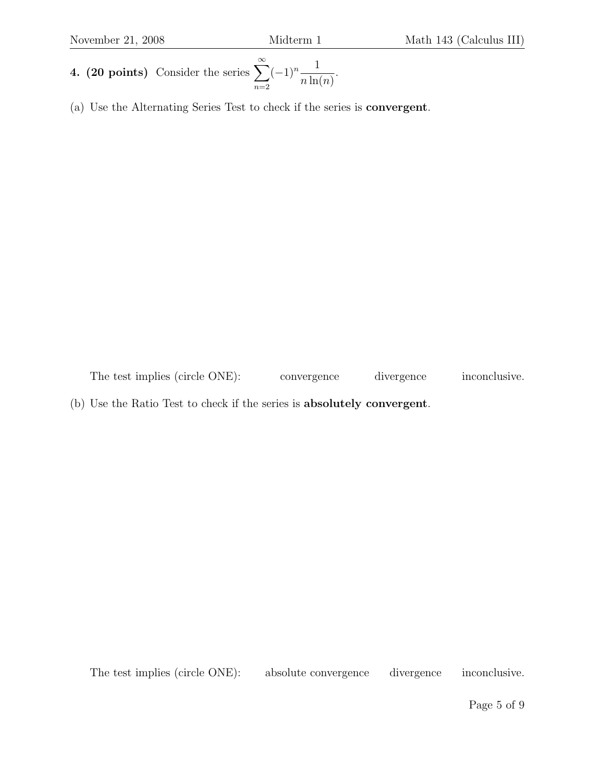- 4. (20 points) Consider the series  $\sum_{n=1}^{\infty}$  $n=2$  $(-1)^n - \frac{1}{1}$  $n \ln(n)$ .
- (a) Use the Alternating Series Test to check if the series is convergent.

The test implies (circle ONE): convergence divergence inconclusive.

(b) Use the Ratio Test to check if the series is absolutely convergent.

The test implies (circle ONE): absolute convergence divergence inconclusive.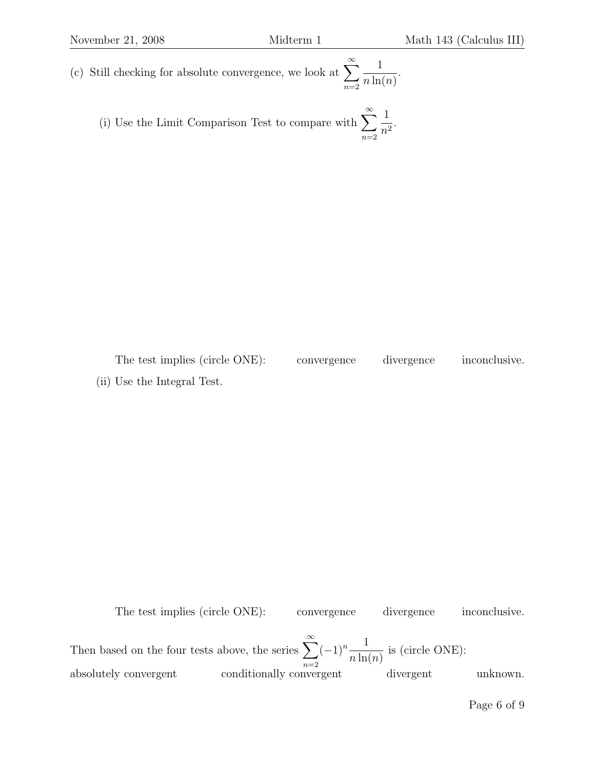(c) Still checking for absolute convergence, we look at  $\sum_{n=1}^{\infty}$  $n=2$ 1  $n \ln(n)$ .

(i) Use the Limit Comparison Test to compare with 
$$
\sum_{n=2}^{\infty} \frac{1}{n^2}.
$$

The test implies (circle ONE): convergence divergence inconclusive. (ii) Use the Integral Test.

The test implies (circle ONE): convergence divergence inconclusive. Then based on the four tests above, the series  $\sum_{n=1}^{\infty}$  $n=2$  $(-1)^n - \frac{1}{1}$  $n \ln(n)$ is (circle ONE): absolutely convergent conditionally convergent divergent unknown.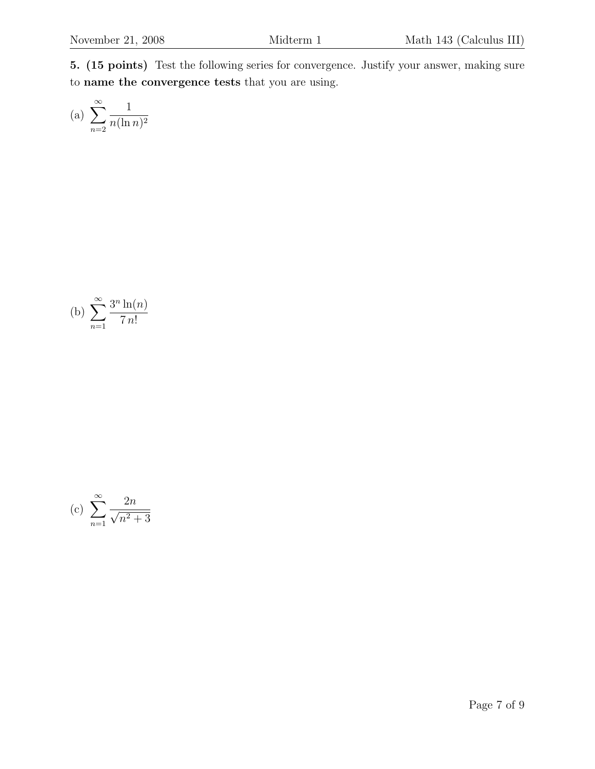5. (15 points) Test the following series for convergence. Justify your answer, making sure to name the convergence tests that you are using.

(a) 
$$
\sum_{n=2}^{\infty} \frac{1}{n(\ln n)^2}
$$

(b) 
$$
\sum_{n=1}^{\infty} \frac{3^n \ln(n)}{7 n!}
$$

(c) 
$$
\sum_{n=1}^{\infty} \frac{2n}{\sqrt{n^2 + 3}}
$$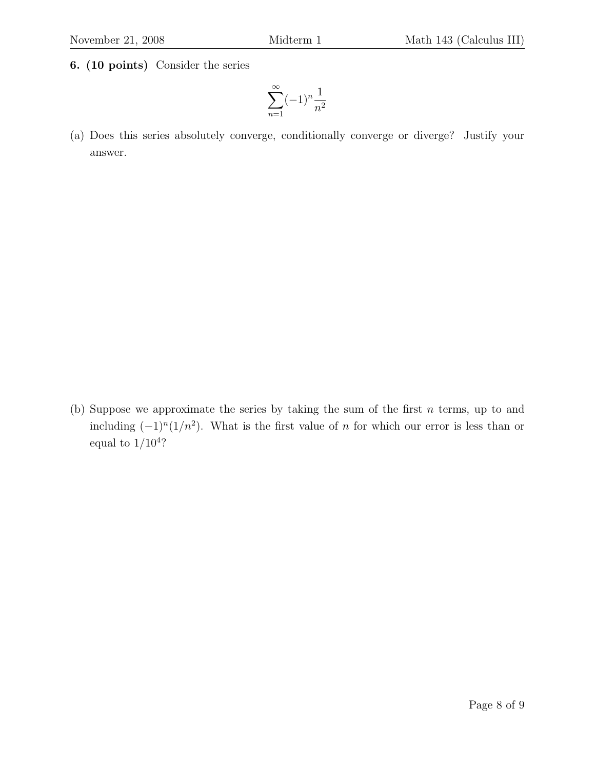6. (10 points) Consider the series

$$
\sum_{n=1}^{\infty} (-1)^n \frac{1}{n^2}
$$

(a) Does this series absolutely converge, conditionally converge or diverge? Justify your answer.

(b) Suppose we approximate the series by taking the sum of the first  $n$  terms, up to and including  $(-1)^n(1/n^2)$ . What is the first value of n for which our error is less than or equal to  $1/10^4$ ?